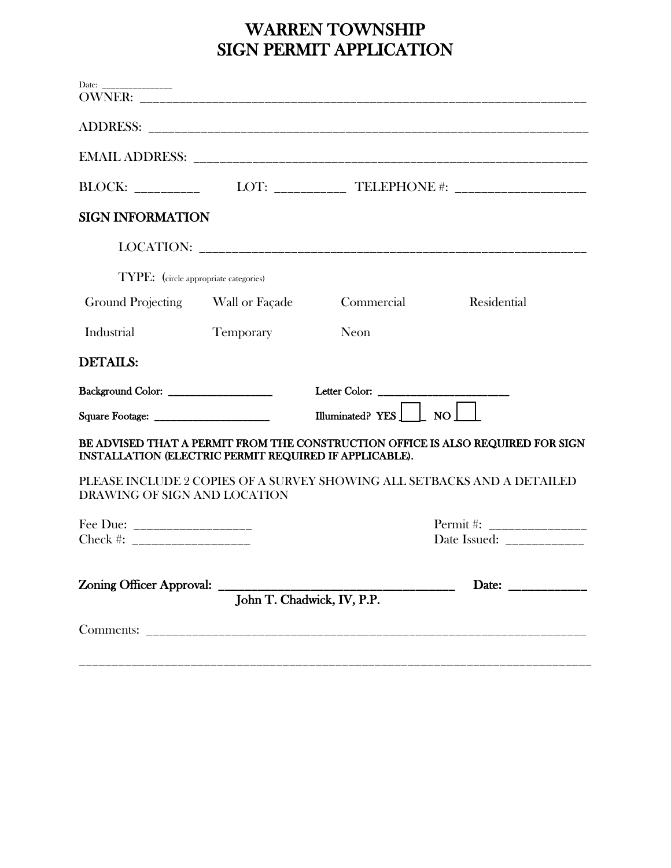# WARREN TOWNSHIP SIGN PERMIT APPLICATION

| Date: ________________                                 |                  |                                                                       |                                                                                 |
|--------------------------------------------------------|------------------|-----------------------------------------------------------------------|---------------------------------------------------------------------------------|
|                                                        |                  |                                                                       |                                                                                 |
|                                                        |                  |                                                                       |                                                                                 |
|                                                        |                  | BLOCK: __________ LOT: ___________ TELEPHONE #: _____________________ |                                                                                 |
| <b>SIGN INFORMATION</b>                                |                  |                                                                       |                                                                                 |
|                                                        |                  |                                                                       |                                                                                 |
| TYPE: (circle appropriate categories)                  |                  |                                                                       |                                                                                 |
| Ground Projecting Wall or Façade                       |                  | Commercial                                                            | Residential                                                                     |
| Industrial                                             | <b>Temporary</b> | Neon                                                                  |                                                                                 |
| <b>DETAILS:</b>                                        |                  |                                                                       |                                                                                 |
| Background Color: ____________________                 |                  |                                                                       |                                                                                 |
|                                                        |                  | Illuminated? YES $\Box$ NO                                            |                                                                                 |
| INSTALLATION (ELECTRIC PERMIT REQUIRED IF APPLICABLE). |                  |                                                                       | BE ADVISED THAT A PERMIT FROM THE CONSTRUCTION OFFICE IS ALSO REQUIRED FOR SIGN |
| DRAWING OF SIGN AND LOCATION                           |                  |                                                                       | PLEASE INCLUDE 2 COPIES OF A SURVEY SHOWING ALL SETBACKS AND A DETAILED         |
| Fee Due: ____________________                          |                  |                                                                       |                                                                                 |
| Check #: _____________________                         |                  |                                                                       | Date Issued: _____________                                                      |
|                                                        |                  | Zoning Officer Approval: John T. Chadwick, IV, P.P.                   |                                                                                 |
|                                                        |                  |                                                                       |                                                                                 |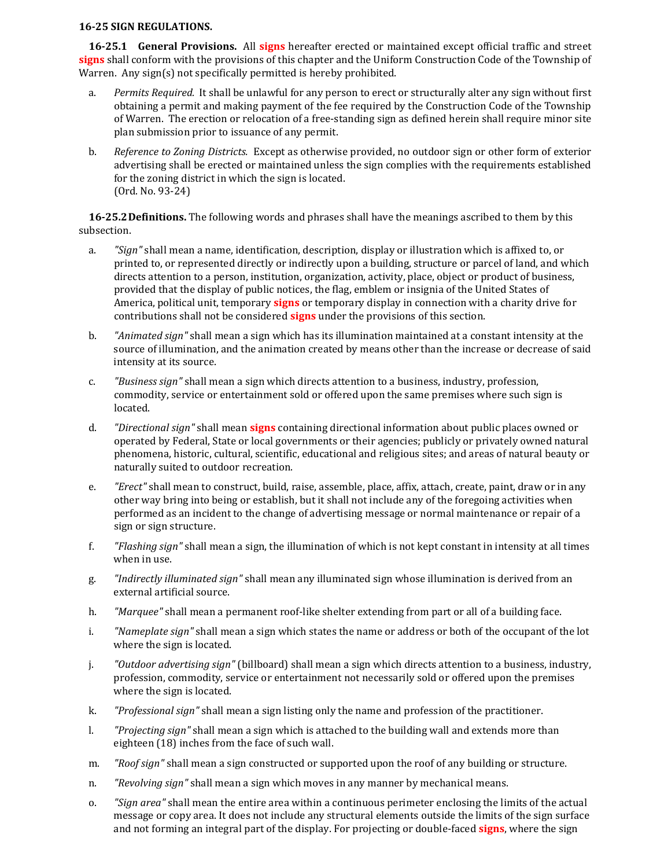#### **16-25 SIGN REGULATIONS.**

**16-25.1 General Provisions.** All **signs** hereafter erected or maintained except official traffic and street **signs** shall conform with the provisions of this chapter and the Uniform Construction Code of the Township of Warren. Any sign(s) not specifically permitted is hereby prohibited.

- a. *Permits Required.* It shall be unlawful for any person to erect or structurally alter any sign without first obtaining a permit and making payment of the fee required by the Construction Code of the Township of Warren. The erection or relocation of a free-standing sign as defined herein shall require minor site plan submission prior to issuance of any permit.
- b. *Reference to Zoning Districts.* Except as otherwise provided, no outdoor sign or other form of exterior advertising shall be erected or maintained unless the sign complies with the requirements established for the zoning district in which the sign is located. (Ord. No. 93-24)

**16-25.2Definitions.** The following words and phrases shall have the meanings ascribed to them by this subsection.

- a. *"Sign"* shall mean a name, identification, description, display or illustration which is affixed to, or printed to, or represented directly or indirectly upon a building, structure or parcel of land, and which directs attention to a person, institution, organization, activity, place, object or product of business, provided that the display of public notices, the flag, emblem or insignia of the United States of America, political unit, temporary **signs** or temporary display in connection with a charity drive for contributions shall not be considered **signs** under the provisions of this section.
- b. *"Animated sign"* shall mean a sign which has its illumination maintained at a constant intensity at the source of illumination, and the animation created by means other than the increase or decrease of said intensity at its source.
- c. *"Business sign"* shall mean a sign which directs attention to a business, industry, profession, commodity, service or entertainment sold or offered upon the same premises where such sign is located.
- d. *"Directional sign"* shall mean **signs** containing directional information about public places owned or operated by Federal, State or local governments or their agencies; publicly or privately owned natural phenomena, historic, cultural, scientific, educational and religious sites; and areas of natural beauty or naturally suited to outdoor recreation.
- e. *"Erect"* shall mean to construct, build, raise, assemble, place, affix, attach, create, paint, draw or in any other way bring into being or establish, but it shall not include any of the foregoing activities when performed as an incident to the change of advertising message or normal maintenance or repair of a sign or sign structure.
- f. *"Flashing sign"* shall mean a sign, the illumination of which is not kept constant in intensity at all times when in use.
- g. *"Indirectly illuminated sign"* shall mean any illuminated sign whose illumination is derived from an external artificial source.
- h. *"Marquee"* shall mean a permanent roof-like shelter extending from part or all of a building face.
- i. *"Nameplate sign"* shall mean a sign which states the name or address or both of the occupant of the lot where the sign is located.
- j. *"Outdoor advertising sign"* (billboard) shall mean a sign which directs attention to a business, industry, profession, commodity, service or entertainment not necessarily sold or offered upon the premises where the sign is located.
- k. *"Professional sign"* shall mean a sign listing only the name and profession of the practitioner.
- l. *"Projecting sign"* shall mean a sign which is attached to the building wall and extends more than eighteen (18) inches from the face of such wall.
- m. *"Roof sign"* shall mean a sign constructed or supported upon the roof of any building or structure.
- n. *"Revolving sign"* shall mean a sign which moves in any manner by mechanical means.
- o. *"Sign area"* shall mean the entire area within a continuous perimeter enclosing the limits of the actual message or copy area. It does not include any structural elements outside the limits of the sign surface and not forming an integral part of the display. For projecting or double-faced **signs**, where the sign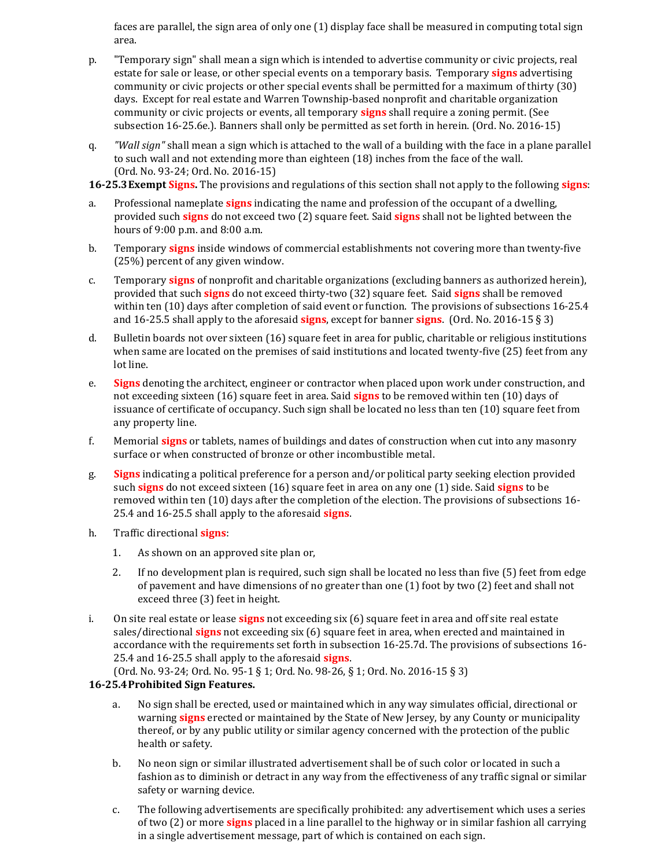faces are parallel, the sign area of only one (1) display face shall be measured in computing total sign area.

- p. "Temporary sign" shall mean a sign which is intended to advertise community or civic projects, real estate for sale or lease, or other special events on a temporary basis. Temporary **signs** advertising community or civic projects or other special events shall be permitted for a maximum of thirty (30) days. Except for real estate and Warren Township-based nonprofit and charitable organization community or civic projects or events, all temporary **signs** shall require a zoning permit. (See subsection 16-25.6e.). Banners shall only be permitted as set forth in herein. (Ord. No. 2016-15)
- q. *"Wall sign"* shall mean a sign which is attached to the wall of a building with the face in a plane parallel to such wall and not extending more than eighteen (18) inches from the face of the wall. (Ord. No. 93-24; Ord. No. 2016-15)

**16-25.3Exempt Signs.** The provisions and regulations of this section shall not apply to the following **signs**:

- a. Professional nameplate **signs** indicating the name and profession of the occupant of a dwelling, provided such **signs** do not exceed two (2) square feet. Said **signs** shall not be lighted between the hours of 9:00 p.m. and 8:00 a.m.
- b. Temporary **signs** inside windows of commercial establishments not covering more than twenty-five (25%) percent of any given window.
- c. Temporary **signs** of nonprofit and charitable organizations (excluding banners as authorized herein), provided that such **signs** do not exceed thirty-two (32) square feet. Said **signs** shall be removed within ten (10) days after completion of said event or function. The provisions of subsections 16-25.4 and 16-25.5 shall apply to the aforesaid **signs**, except for banner **signs**. (Ord. No. 2016-15 § 3)
- d. Bulletin boards not over sixteen (16) square feet in area for public, charitable or religious institutions when same are located on the premises of said institutions and located twenty-five (25) feet from any lot line.
- e. **Signs** denoting the architect, engineer or contractor when placed upon work under construction, and not exceeding sixteen (16) square feet in area. Said **signs** to be removed within ten (10) days of issuance of certificate of occupancy. Such sign shall be located no less than ten (10) square feet from any property line.
- f. Memorial **signs** or tablets, names of buildings and dates of construction when cut into any masonry surface or when constructed of bronze or other incombustible metal.
- g. **Signs** indicating a political preference for a person and/or political party seeking election provided such **signs** do not exceed sixteen (16) square feet in area on any one (1) side. Said **signs** to be removed within ten (10) days after the completion of the election. The provisions of subsections 16- 25.4 and 16-25.5 shall apply to the aforesaid **signs**.
- h. Traffic directional **signs**:
	- 1. As shown on an approved site plan or,
	- 2. If no development plan is required, such sign shall be located no less than five (5) feet from edge of pavement and have dimensions of no greater than one (1) foot by two (2) feet and shall not exceed three (3) feet in height.
- i. On site real estate or lease **signs** not exceeding six (6) square feet in area and off site real estate sales/directional **signs** not exceeding six (6) square feet in area, when erected and maintained in accordance with the requirements set forth in subsection 16-25.7d. The provisions of subsections 16- 25.4 and 16-25.5 shall apply to the aforesaid **signs**.

(Ord. No. 93-24; Ord. No. 95-1 § 1; Ord. No. 98-26, § 1; Ord. No. 2016-15 § 3)

## **16-25.4Prohibited Sign Features.**

- a. No sign shall be erected, used or maintained which in any way simulates official, directional or warning **signs** erected or maintained by the State of New Jersey, by any County or municipality thereof, or by any public utility or similar agency concerned with the protection of the public health or safety.
- b. No neon sign or similar illustrated advertisement shall be of such color or located in such a fashion as to diminish or detract in any way from the effectiveness of any traffic signal or similar safety or warning device.
- c. The following advertisements are specifically prohibited: any advertisement which uses a series of two (2) or more **signs** placed in a line parallel to the highway or in similar fashion all carrying in a single advertisement message, part of which is contained on each sign.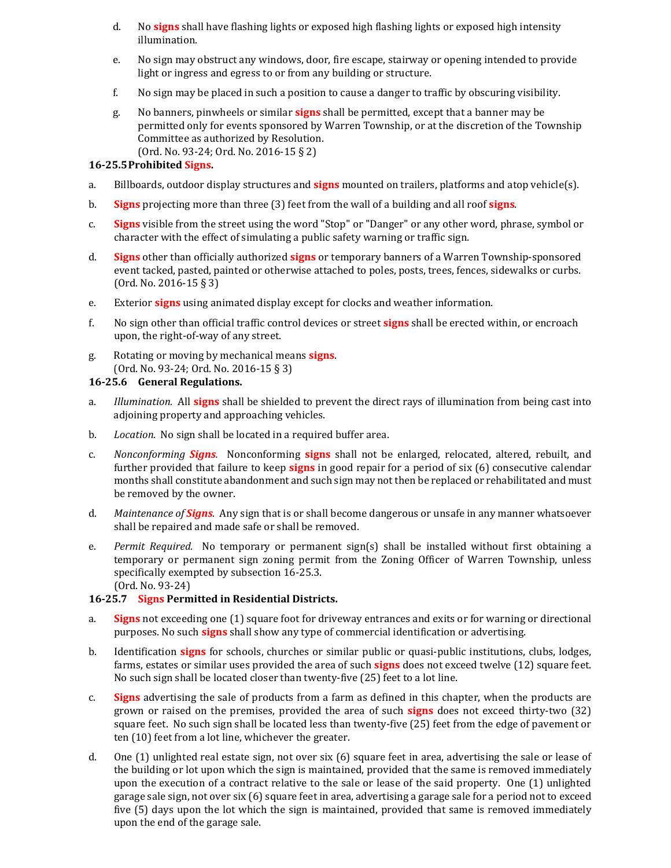- d. No **signs** shall have flashing lights or exposed high flashing lights or exposed high intensity illumination.
- e. No sign may obstruct any windows, door, fire escape, stairway or opening intended to provide light or ingress and egress to or from any building or structure.
- f. No sign may be placed in such a position to cause a danger to traffic by obscuring visibility.
- g. No banners, pinwheels or similar **signs** shall be permitted, except that a banner may be permitted only for events sponsored by Warren Township, or at the discretion of the Township Committee as authorized by Resolution. (Ord. No. 93-24; Ord. No. 2016-15 § 2)

### **16-25.5Prohibited Signs.**

- a. Billboards, outdoor display structures and **signs** mounted on trailers, platforms and atop vehicle(s).
- b. **Signs** projecting more than three (3) feet from the wall of a building and all roof **signs**.
- c. **Signs** visible from the street using the word "Stop" or "Danger" or any other word, phrase, symbol or character with the effect of simulating a public safety warning or traffic sign.
- d. **Signs** other than officially authorized **signs** or temporary banners of a Warren Township-sponsored event tacked, pasted, painted or otherwise attached to poles, posts, trees, fences, sidewalks or curbs. (Ord. No. 2016-15 § 3)
- e. Exterior **signs** using animated display except for clocks and weather information.
- f. No sign other than official traffic control devices or street **signs** shall be erected within, or encroach upon, the right-of-way of any street.
- g. Rotating or moving by mechanical means **signs**. (Ord. No. 93-24; Ord. No. 2016-15 § 3)

### **16-25.6 General Regulations.**

- a. *Illumination.* All **signs** shall be shielded to prevent the direct rays of illumination from being cast into adjoining property and approaching vehicles.
- b. *Location.* No sign shall be located in a required buffer area.
- c. *Nonconforming Signs.* Nonconforming **signs** shall not be enlarged, relocated, altered, rebuilt, and further provided that failure to keep **signs** in good repair for a period of six (6) consecutive calendar months shall constitute abandonment and such sign may not then be replaced or rehabilitated and must be removed by the owner.
- d. *Maintenance of Signs.* Any sign that is or shall become dangerous or unsafe in any manner whatsoever shall be repaired and made safe or shall be removed.
- e. *Permit Required.* No temporary or permanent sign(s) shall be installed without first obtaining a temporary or permanent sign zoning permit from the Zoning Officer of Warren Township, unless specifically exempted by subsection 16-25.3. (Ord. No. 93-24)

#### **16-25.7 Signs Permitted in Residential Districts.**

- a. **Signs** not exceeding one (1) square foot for driveway entrances and exits or for warning or directional purposes. No such **signs** shall show any type of commercial identification or advertising.
- b. Identification **signs** for schools, churches or similar public or quasi-public institutions, clubs, lodges, farms, estates or similar uses provided the area of such **signs** does not exceed twelve (12) square feet. No such sign shall be located closer than twenty-five (25) feet to a lot line.
- c. **Signs** advertising the sale of products from a farm as defined in this chapter, when the products are grown or raised on the premises, provided the area of such **signs** does not exceed thirty-two (32) square feet. No such sign shall be located less than twenty-five (25) feet from the edge of pavement or ten (10) feet from a lot line, whichever the greater.
- d. One (1) unlighted real estate sign, not over six (6) square feet in area, advertising the sale or lease of the building or lot upon which the sign is maintained, provided that the same is removed immediately upon the execution of a contract relative to the sale or lease of the said property. One (1) unlighted garage sale sign, not over six (6) square feet in area, advertising a garage sale for a period not to exceed five (5) days upon the lot which the sign is maintained, provided that same is removed immediately upon the end of the garage sale.